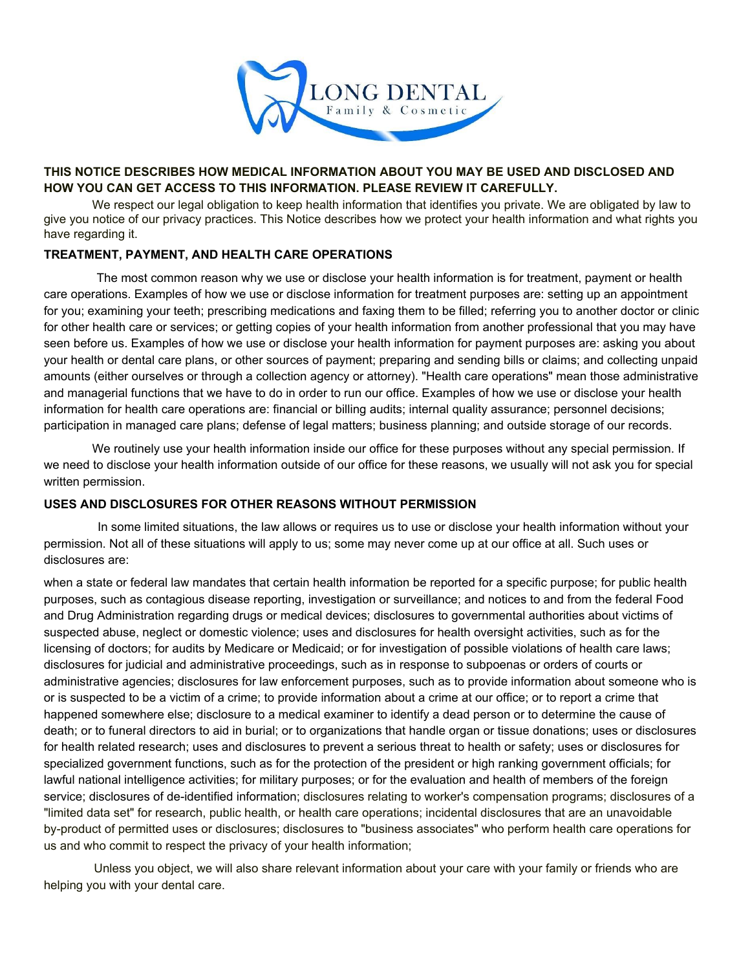

## **THIS NOTICE DESCRIBES HOW MEDICAL INFORMATION ABOUT YOU MAY BE USED AND DISCLOSED AND HOW YOU CAN GET ACCESS TO THIS INFORMATION. PLEASE REVIEW IT CAREFULLY.**

We respect our legal obligation to keep health information that identifies you private. We are obligated by law to give you notice of our privacy practices. This Notice describes how we protect your health information and what rights you have regarding it.

## **TREATMENT, PAYMENT, AND HEALTH CARE OPERATIONS**

The most common reason why we use or disclose your health information is for treatment, payment or health care operations. Examples of how we use or disclose information for treatment purposes are: setting up an appointment for you; examining your teeth; prescribing medications and faxing them to be filled; referring you to another doctor or clinic for other health care or services; or getting copies of your health information from another professional that you may have seen before us. Examples of how we use or disclose your health information for payment purposes are: asking you about your health or dental care plans, or other sources of payment; preparing and sending bills or claims; and collecting unpaid amounts (either ourselves or through a collection agency or attorney). "Health care operations" mean those administrative and managerial functions that we have to do in order to run our office. Examples of how we use or disclose your health information for health care operations are: financial or billing audits; internal quality assurance; personnel decisions; participation in managed care plans; defense of legal matters; business planning; and outside storage of our records.

We routinely use your health information inside our office for these purposes without any special permission. If we need to disclose your health information outside of our office for these reasons, we usually will not ask you for special written permission.

#### **USES AND DISCLOSURES FOR OTHER REASONS WITHOUT PERMISSION**

In some limited situations, the law allows or requires us to use or disclose your health information without your permission. Not all of these situations will apply to us; some may never come up at our office at all. Such uses or disclosures are:

when a state or federal law mandates that certain health information be reported for a specific purpose; for public health purposes, such as contagious disease reporting, investigation or surveillance; and notices to and from the federal Food and Drug Administration regarding drugs or medical devices; disclosures to governmental authorities about victims of suspected abuse, neglect or domestic violence; uses and disclosures for health oversight activities, such as for the licensing of doctors; for audits by Medicare or Medicaid; or for investigation of possible violations of health care laws; disclosures for judicial and administrative proceedings, such as in response to subpoenas or orders of courts or administrative agencies; disclosures for law enforcement purposes, such as to provide information about someone who is or is suspected to be a victim of a crime; to provide information about a crime at our office; or to report a crime that happened somewhere else; disclosure to a medical examiner to identify a dead person or to determine the cause of death; or to funeral directors to aid in burial; or to organizations that handle organ or tissue donations; uses or disclosures for health related research; uses and disclosures to prevent a serious threat to health or safety; uses or disclosures for specialized government functions, such as for the protection of the president or high ranking government officials; for lawful national intelligence activities; for military purposes; or for the evaluation and health of members of the foreign service; disclosures of de-identified information; disclosures relating to worker's compensation programs; disclosures of a "limited data set" for research, public health, or health care operations; incidental disclosures that are an unavoidable by-product of permitted uses or disclosures; disclosures to "business associates" who perform health care operations for us and who commit to respect the privacy of your health information;

Unless you object, we will also share relevant information about your care with your family or friends who are helping you with your dental care.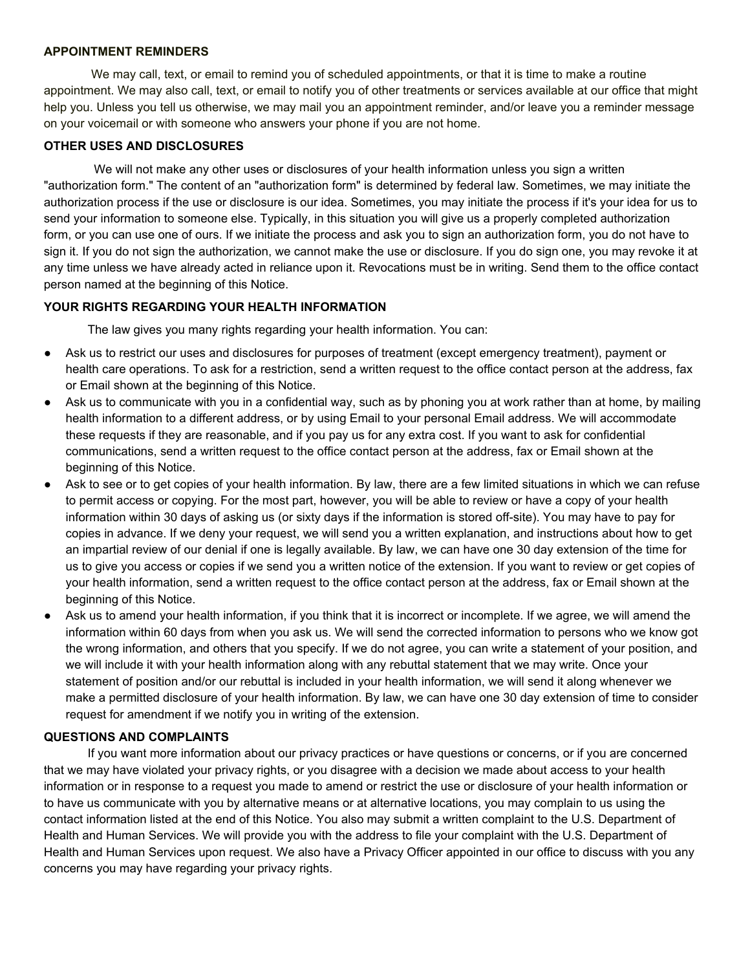#### **APPOINTMENT REMINDERS**

We may call, text, or email to remind you of scheduled appointments, or that it is time to make a routine appointment. We may also call, text, or email to notify you of other treatments or services available at our office that might help you. Unless you tell us otherwise, we may mail you an appointment reminder, and/or leave you a reminder message on your voicemail or with someone who answers your phone if you are not home.

#### **OTHER USES AND DISCLOSURES**

We will not make any other uses or disclosures of your health information unless you sign a written "authorization form." The content of an "authorization form" is determined by federal law. Sometimes, we may initiate the authorization process if the use or disclosure is our idea. Sometimes, you may initiate the process if it's your idea for us to send your information to someone else. Typically, in this situation you will give us a properly completed authorization form, or you can use one of ours. If we initiate the process and ask you to sign an authorization form, you do not have to sign it. If you do not sign the authorization, we cannot make the use or disclosure. If you do sign one, you may revoke it at any time unless we have already acted in reliance upon it. Revocations must be in writing. Send them to the office contact person named at the beginning of this Notice.

## **YOUR RIGHTS REGARDING YOUR HEALTH INFORMATION**

The law gives you many rights regarding your health information. You can:

- Ask us to restrict our uses and disclosures for purposes of treatment (except emergency treatment), payment or health care operations. To ask for a restriction, send a written request to the office contact person at the address, fax or Email shown at the beginning of this Notice.
- Ask us to communicate with you in a confidential way, such as by phoning you at work rather than at home, by mailing health information to a different address, or by using Email to your personal Email address. We will accommodate these requests if they are reasonable, and if you pay us for any extra cost. If you want to ask for confidential communications, send a written request to the office contact person at the address, fax or Email shown at the beginning of this Notice.
- Ask to see or to get copies of your health information. By law, there are a few limited situations in which we can refuse to permit access or copying. For the most part, however, you will be able to review or have a copy of your health information within 30 days of asking us (or sixty days if the information is stored off-site). You may have to pay for copies in advance. If we deny your request, we will send you a written explanation, and instructions about how to get an impartial review of our denial if one is legally available. By law, we can have one 30 day extension of the time for us to give you access or copies if we send you a written notice of the extension. If you want to review or get copies of your health information, send a written request to the office contact person at the address, fax or Email shown at the beginning of this Notice.
- Ask us to amend your health information, if you think that it is incorrect or incomplete. If we agree, we will amend the information within 60 days from when you ask us. We will send the corrected information to persons who we know got the wrong information, and others that you specify. If we do not agree, you can write a statement of your position, and we will include it with your health information along with any rebuttal statement that we may write. Once your statement of position and/or our rebuttal is included in your health information, we will send it along whenever we make a permitted disclosure of your health information. By law, we can have one 30 day extension of time to consider request for amendment if we notify you in writing of the extension.

## **QUESTIONS AND COMPLAINTS**

If you want more information about our privacy practices or have questions or concerns, or if you are concerned that we may have violated your privacy rights, or you disagree with a decision we made about access to your health information or in response to a request you made to amend or restrict the use or disclosure of your health information or to have us communicate with you by alternative means or at alternative locations, you may complain to us using the contact information listed at the end of this Notice. You also may submit a written complaint to the U.S. Department of Health and Human Services. We will provide you with the address to file your complaint with the U.S. Department of Health and Human Services upon request. We also have a Privacy Officer appointed in our office to discuss with you any concerns you may have regarding your privacy rights.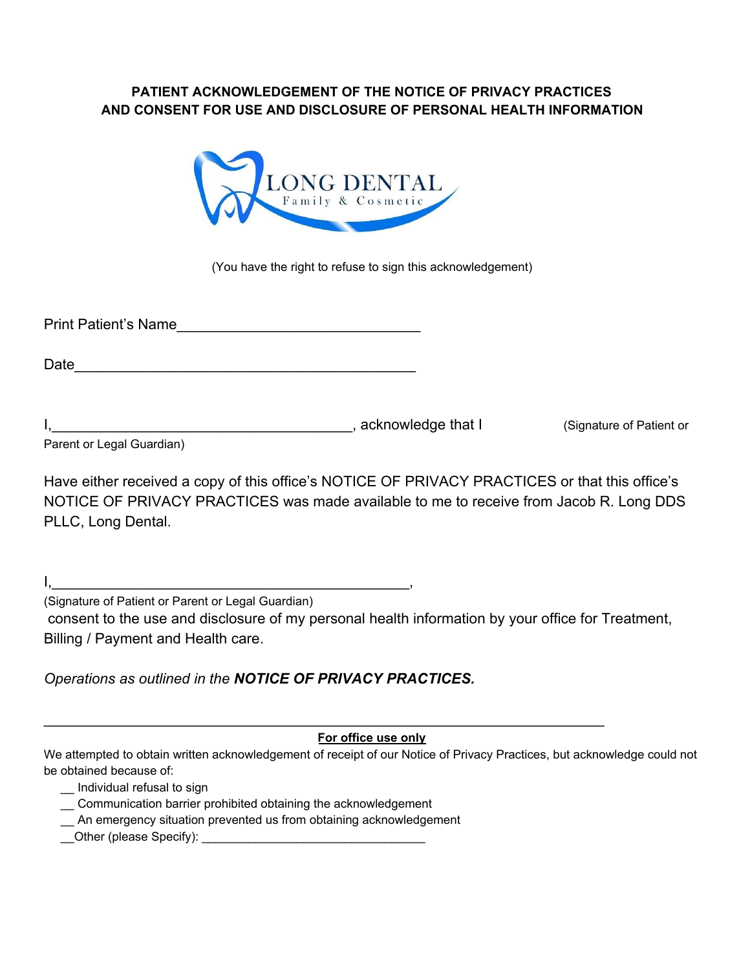# **PATIENT ACKNOWLEDGEMENT OF THE NOTICE OF PRIVACY PRACTICES AND CONSENT FOR USE AND DISCLOSURE OF PERSONAL HEALTH INFORMATION**



(You have the right to refuse to sign this acknowledgement)

Print Patient's Name\_\_\_\_\_\_\_\_\_\_\_\_\_\_\_\_\_\_\_\_\_\_\_\_\_\_\_\_\_\_

Date\_\_\_\_\_\_\_\_\_\_\_\_\_\_\_\_\_\_\_\_\_\_\_\_\_\_\_\_\_\_\_\_\_\_\_\_\_\_\_\_\_\_

I,\_\_\_\_\_\_\_\_\_\_\_\_\_\_\_\_\_\_\_\_\_\_\_\_\_\_\_\_\_\_\_\_\_\_\_\_\_, acknowledge that I (Signature of Patient or

Parent or Legal Guardian)

Have either received a copy of this office's NOTICE OF PRIVACY PRACTICES or that this office's NOTICE OF PRIVACY PRACTICES was made available to me to receive from Jacob R. Long DDS PLLC, Long Dental.

I,\_\_\_\_\_\_\_\_\_\_\_\_\_\_\_\_\_\_\_\_\_\_\_\_\_\_\_\_\_\_\_\_\_\_\_\_\_\_\_\_\_\_\_\_, (Signature of Patient or Parent or Legal Guardian)

 consent to the use and disclosure of my personal health information by your office for Treatment, Billing / Payment and Health care.

*Operations as outlined in the NOTICE OF PRIVACY PRACTICES.*

**For office use only**

\_\_\_\_\_\_\_\_\_\_\_\_\_\_\_\_\_\_\_\_\_\_\_\_\_\_\_\_\_\_\_\_\_\_\_\_\_\_\_\_\_\_\_\_\_\_\_\_\_\_\_\_\_\_\_\_\_\_\_\_\_\_\_\_\_\_\_\_\_

We attempted to obtain written acknowledgement of receipt of our Notice of Privacy Practices, but acknowledge could not be obtained because of:

- \_\_ Individual refusal to sign
- \_\_ Communication barrier prohibited obtaining the acknowledgement
- \_\_ An emergency situation prevented us from obtaining acknowledgement
- Other (please Specify):  $\Box$